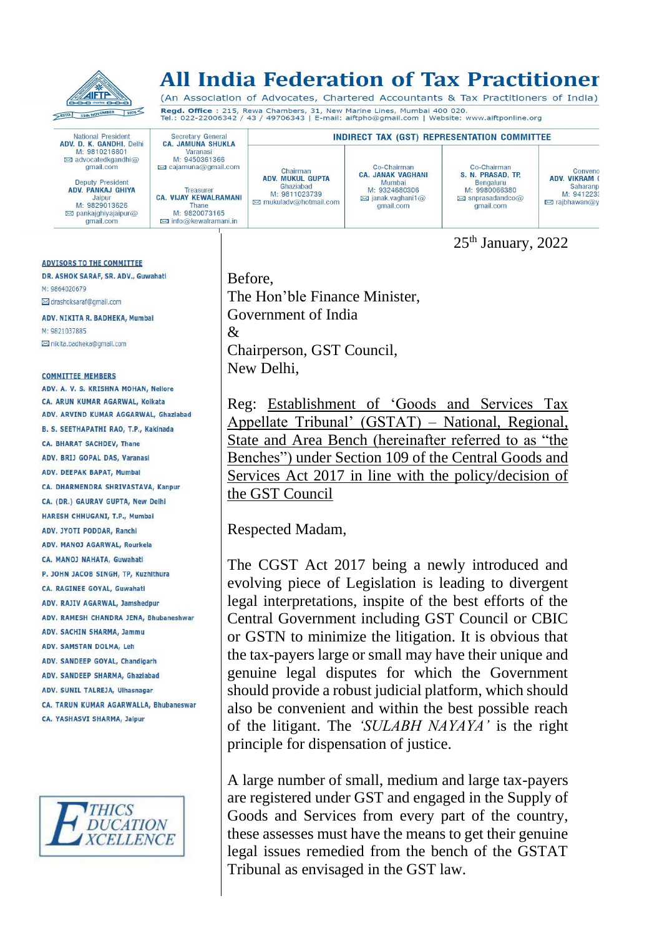

# All India Federation of Tax Practitioner

(An Association of Advocates, Chartered Accountants & Tax Practitioners of India) Regd. Office : 215, Rewa Chambers, 31, New Marine Lines, Mumbai 400 020.<br>Tel.: 022-22006342 / 43 / 49706343 | E-mail: aiftpho@gmail.com | Website: www.aiftponline.org

Co-Chairman

CA. JANAK VAGHANI

Mumbai<br>M: 9324680306

 $\approx$ ianak.vaghani1@

qmail.com

**INDIRECT TAX (GST) REPRESENTATION COMMITTEE** 

National President<br>**ADV. D. K. GANDHI**, Delhi<br>M: 9810216801<br>⊠ advocatedkgandhi@ qmail.com

Secretary General<br>CA. JAMUNA SHUKLA

Varanasi M: 9450361366

⊠ cajamuna@gmail.com

Treasure

**CA. VIJAY KEWALRAMANI** 

Thane<br>M: 9820073165

**⊠** info@kewalramani.in

**Deputy President** ADV. PANKAJ GHIYA Jainu M: 9829013626 **E** pankajghiyajaipur@ gmail.com

**ADVISORS TO THE COMMITTEE** DR. ASHOK SARAF, SR. ADV., Guwahati M: 9864020679 ⊠ drashoksaraf@gmail.com ADV. NIKITA R. BADHEKA, Mumbal M: 9821037885

⊠ nikita.badheka@gmail.com

#### **COMMITTEE MEMBERS**

ADV A V S KRISHNA MOHAN Nellore CA ARUN KUMAR AGARWAL, Kolkata ADV, ARVIND KUMAR AGGARWAL, Ghaziabad **B. S. SEFTHAPATHI RAO, T.P., Kakinada** CA. BHARAT SACHDEV, Thane ADV, BRIJ GOPAL DAS, Varanasi ADV. DEEPAK BAPAT, Mumbal CA. DHARMENDRA SHRIVASTAVA, Kanpur CA. (DR.) GAURAV GUPTA, New Delhi HARESH CHHUGANI, T.P., Mumbai ADV. JYOTI PODDAR, Ranchi ADV, MANOJ AGARWAL, Rourkela CA. MANOJ NAHATA, Guwahati P. JOHN JACOB SINGH, TP, Kuzhithura CA. RAGINEE GOVAL, Guwahati ADV. RAJIV AGARWAL, Jamshedpur ADV. RAMESH CHANDRA JENA, Bhubaneshwar ADV. SACHIN SHARMA, Jammu ADV. SAMSTAN DOLMA, Leh ADV. SANDEEP GOYAL, Chandigarh ADV. SANDEEP SHARMA, Ghaziabad ADV. SUNIL TALREJA, Ulhasnagar CA. TARUN KUMAR AGARWALLA, Bhubaneswar CA. YASHASVI SHARMA, Jaipur



Before, The Hon'ble Finance Minister, Government of India & Chairperson, GST Council, New Delhi,

Chairman<br>ADV. MUKUL GUPTA

Ghaziabad<br>M: 9811023739

⊠ mukuladv@hotmail.com

Reg: Establishment of 'Goods and Services Tax Appellate Tribunal' (GSTAT) – National, Regional, State and Area Bench (hereinafter referred to as "the Benches") under Section 109 of the Central Goods and Services Act 2017 in line with the policy/decision of the GST Council

25<sup>th</sup> January, 2022

Conveno<br>ADV. VIKRAM (

 $\boxtimes$  rajbhawan@y

Saharanp

M: 9412233

Co-Chairman

S. N. PRASAD, TP.

Bengaluru<br>M: 9980066380

 $\boxtimes$  snprasadandco $\textcircled{a}$ 

gmail.com

Respected Madam,

The CGST Act 2017 being a newly introduced and evolving piece of Legislation is leading to divergent legal interpretations, inspite of the best efforts of the Central Government including GST Council or CBIC or GSTN to minimize the litigation. It is obvious that the tax-payers large or small may have their unique and genuine legal disputes for which the Government should provide a robust judicial platform, which should also be convenient and within the best possible reach of the litigant. The *'SULABH NAYAYA'* is the right principle for dispensation of justice.

A large number of small, medium and large tax-payers are registered under GST and engaged in the Supply of Goods and Services from every part of the country, these assesses must have the means to get their genuine legal issues remedied from the bench of the GSTAT Tribunal as envisaged in the GST law.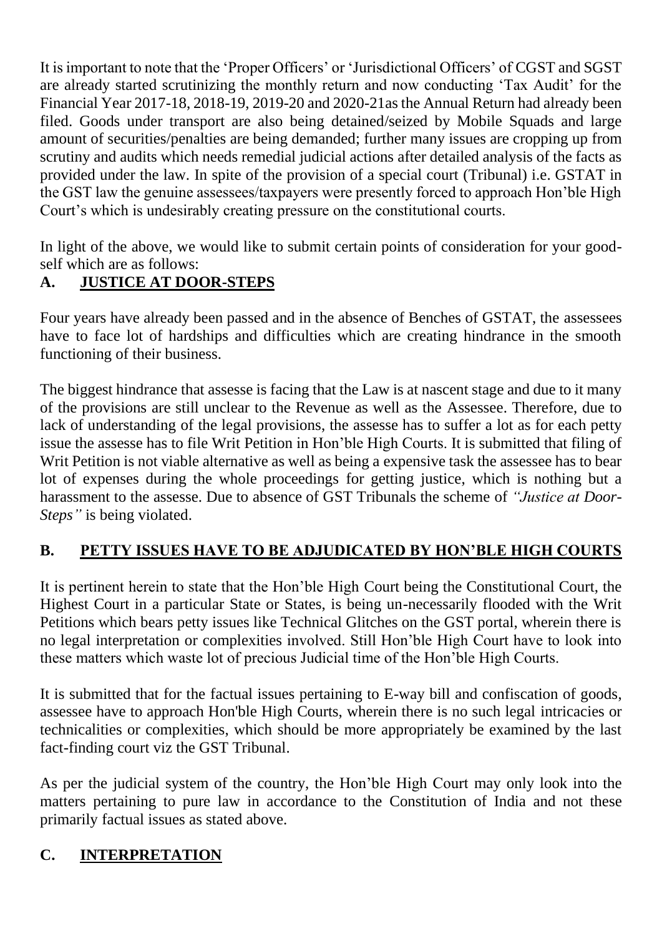It is important to note that the 'Proper Officers' or 'Jurisdictional Officers' of CGST and SGST are already started scrutinizing the monthly return and now conducting 'Tax Audit' for the Financial Year 2017-18, 2018-19, 2019-20 and 2020-21as the Annual Return had already been filed. Goods under transport are also being detained/seized by Mobile Squads and large amount of securities/penalties are being demanded; further many issues are cropping up from scrutiny and audits which needs remedial judicial actions after detailed analysis of the facts as provided under the law. In spite of the provision of a special court (Tribunal) i.e. GSTAT in the GST law the genuine assessees/taxpayers were presently forced to approach Hon'ble High Court's which is undesirably creating pressure on the constitutional courts.

In light of the above, we would like to submit certain points of consideration for your goodself which are as follows:

## **A. JUSTICE AT DOOR-STEPS**

Four years have already been passed and in the absence of Benches of GSTAT, the assessees have to face lot of hardships and difficulties which are creating hindrance in the smooth functioning of their business.

The biggest hindrance that assesse is facing that the Law is at nascent stage and due to it many of the provisions are still unclear to the Revenue as well as the Assessee. Therefore, due to lack of understanding of the legal provisions, the assesse has to suffer a lot as for each petty issue the assesse has to file Writ Petition in Hon'ble High Courts. It is submitted that filing of Writ Petition is not viable alternative as well as being a expensive task the assessee has to bear lot of expenses during the whole proceedings for getting justice, which is nothing but a harassment to the assesse. Due to absence of GST Tribunals the scheme of *"Justice at Door-Steps"* is being violated.

# **B. PETTY ISSUES HAVE TO BE ADJUDICATED BY HON'BLE HIGH COURTS**

It is pertinent herein to state that the Hon'ble High Court being the Constitutional Court, the Highest Court in a particular State or States, is being un-necessarily flooded with the Writ Petitions which bears petty issues like Technical Glitches on the GST portal, wherein there is no legal interpretation or complexities involved. Still Hon'ble High Court have to look into these matters which waste lot of precious Judicial time of the Hon'ble High Courts.

It is submitted that for the factual issues pertaining to E-way bill and confiscation of goods, assessee have to approach Hon'ble High Courts, wherein there is no such legal intricacies or technicalities or complexities, which should be more appropriately be examined by the last fact-finding court viz the GST Tribunal.

As per the judicial system of the country, the Hon'ble High Court may only look into the matters pertaining to pure law in accordance to the Constitution of India and not these primarily factual issues as stated above.

#### **C. INTERPRETATION**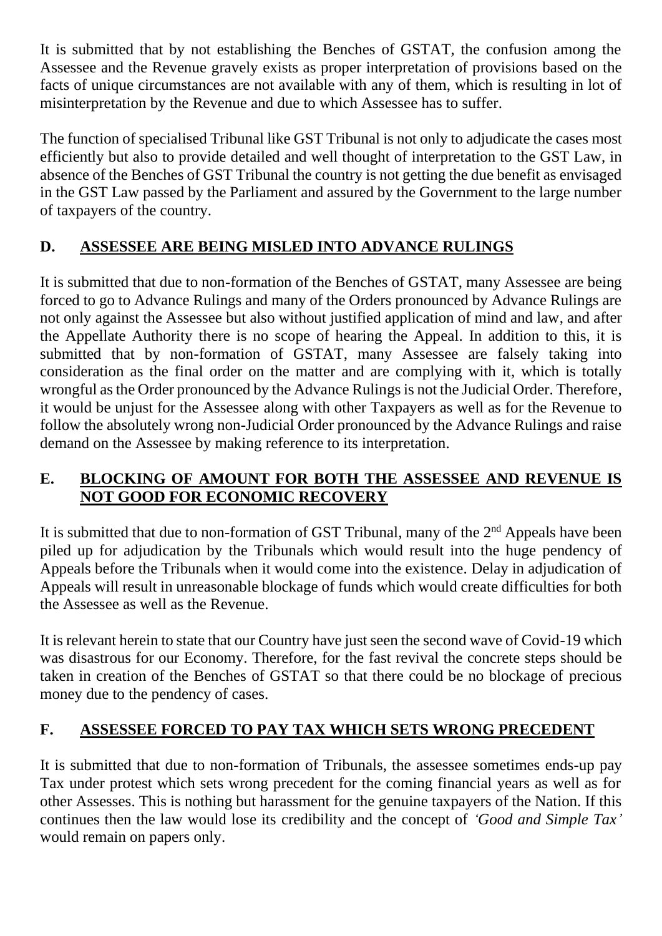It is submitted that by not establishing the Benches of GSTAT, the confusion among the Assessee and the Revenue gravely exists as proper interpretation of provisions based on the facts of unique circumstances are not available with any of them, which is resulting in lot of misinterpretation by the Revenue and due to which Assessee has to suffer.

The function of specialised Tribunal like GST Tribunal is not only to adjudicate the cases most efficiently but also to provide detailed and well thought of interpretation to the GST Law, in absence of the Benches of GST Tribunal the country is not getting the due benefit as envisaged in the GST Law passed by the Parliament and assured by the Government to the large number of taxpayers of the country.

# **D. ASSESSEE ARE BEING MISLED INTO ADVANCE RULINGS**

It is submitted that due to non-formation of the Benches of GSTAT, many Assessee are being forced to go to Advance Rulings and many of the Orders pronounced by Advance Rulings are not only against the Assessee but also without justified application of mind and law, and after the Appellate Authority there is no scope of hearing the Appeal. In addition to this, it is submitted that by non-formation of GSTAT, many Assessee are falsely taking into consideration as the final order on the matter and are complying with it, which is totally wrongful as the Order pronounced by the Advance Rulings is not the Judicial Order. Therefore, it would be unjust for the Assessee along with other Taxpayers as well as for the Revenue to follow the absolutely wrong non-Judicial Order pronounced by the Advance Rulings and raise demand on the Assessee by making reference to its interpretation.

### **E. BLOCKING OF AMOUNT FOR BOTH THE ASSESSEE AND REVENUE IS NOT GOOD FOR ECONOMIC RECOVERY**

It is submitted that due to non-formation of GST Tribunal, many of the  $2<sup>nd</sup>$  Appeals have been piled up for adjudication by the Tribunals which would result into the huge pendency of Appeals before the Tribunals when it would come into the existence. Delay in adjudication of Appeals will result in unreasonable blockage of funds which would create difficulties for both the Assessee as well as the Revenue.

It is relevant herein to state that our Country have just seen the second wave of Covid-19 which was disastrous for our Economy. Therefore, for the fast revival the concrete steps should be taken in creation of the Benches of GSTAT so that there could be no blockage of precious money due to the pendency of cases.

# **F. ASSESSEE FORCED TO PAY TAX WHICH SETS WRONG PRECEDENT**

It is submitted that due to non-formation of Tribunals, the assessee sometimes ends-up pay Tax under protest which sets wrong precedent for the coming financial years as well as for other Assesses. This is nothing but harassment for the genuine taxpayers of the Nation. If this continues then the law would lose its credibility and the concept of *'Good and Simple Tax'* would remain on papers only.